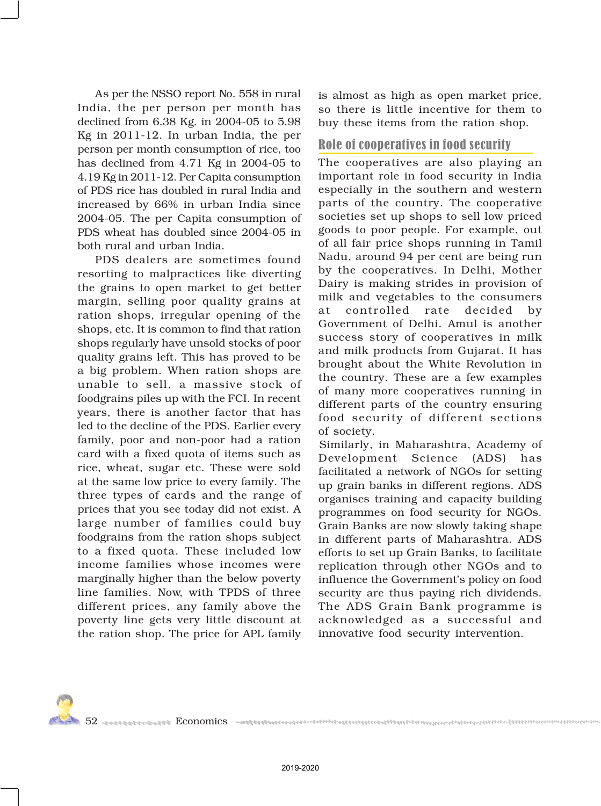As per the NSSO report No. 558 in rural India, the per person per month has declined from 6.38 Kg. in 2004-05 to 5.98 Kg in 2011-12. In urban India, the per person per month consumption of rice, too has declined from 4.71 Kg in 2004-05 to 4.19 Kg in 2011-12. Per Capita consumption of PDS rice has doubled in rural India and increased by 66% in urban India since 2004-05. The per Capita consumption of PDS wheat has doubled since 2004-05 in both rural and urban India.

PDS dealers are sometimes found resorting to malpractices like diverting the grains to open market to get better margin, selling poor quality grains at

ration shops, irreg shops, etc. It is comn shops regularly have quality grains left. This a big problem. When unable to sell, a foodgrains piles up w years, there is anot led to the decline of the family, poor and no card with a fixed qu rice, wheat, sugar  $\epsilon$ at the same low price three types of card prices that you see to large number of f

foodgrains from the ration shops subject to a fixed quota. These included low income families whose incomes were marginally higher than the below poverty line families. Now, with TPDS of three different prices, any family above the poverty line gets very little discount at the ration shop. The price for APL family

is almost as high as open market price, so there is little incentive for them to buy these items from the ration shop.

## Role of cooperatives in food security

The cooperatives are also playing an important role in food security in India especially in the southern and western parts of the country. The cooperative societies set up shops to sell low priced goods to poor people. For example, out of all fair price shops running in Tamil Nadu, around 94 per cent are being run by the cooperatives. In Delhi, Mother Dairy is making strides in provision of milk and vegetables to the consumers

> rate decided by Delhi. Amul is another of cooperatives in milk cts from Gujarat. It has the White Revolution in the country countries are a few examples cooperatives running in of the country ensuring of different sections

> aharashtra, Academy of Science (ADS) has work of NGOs for setting in different regions. ADS ng and capacity building food security for NGOs. e now slowly taking shape

in different parts of Maharashtra. ADS efforts to set up Grain Banks, to facilitate replication through other NGOs and to influence the Government's policy on food security are thus paying rich dividends. The ADS Grain Bank programme is acknowledged as a successful and innovative food security intervention.

52 Economics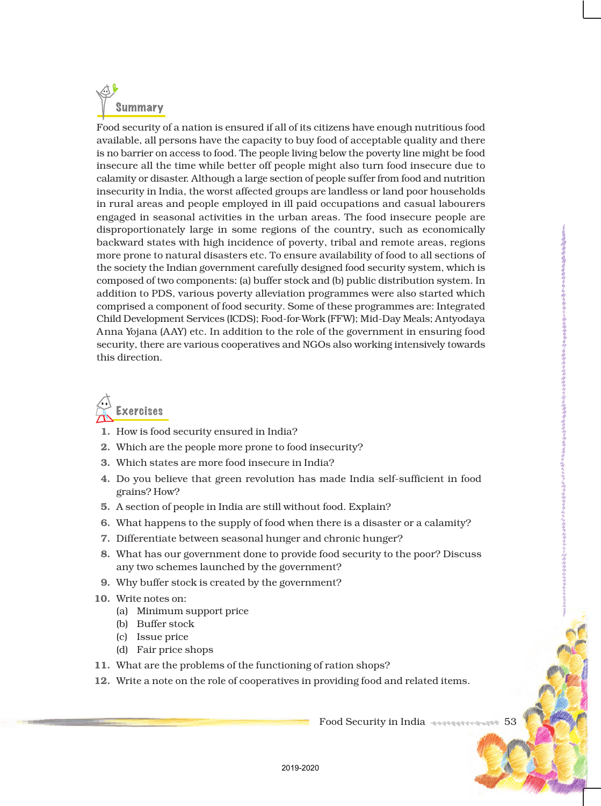

Food security of a nation is ensured if all of its citizens have enough nutritious food available, all persons have the capacity to buy food of acceptable quality and there is no barrier on access to food. The people living below the poverty line might be food insecure all the time while better off people might also turn food insecure due to calamity or disaster. Although a large section of people suffer from food and nutrition insecurity in India, the worst affected groups are landless or land poor households in rural areas and people employed in ill paid occupations and casual labourers engaged in seasonal activities in the urban areas. The food insecure people are disproportionately large in some regions of the country, such as economically backward states with high incidence of poverty, tribal and remote areas, regions more prone to natural disasters etc. To ensure availability of food to all sections of the society the Indian government carefully designed food security system, which is composed of two components: (a) buffer stock and (b) public distribution system. In addition to PDS, various poverty alleviation programmes were also started which comprised a component of food security. Some of these programmes are: Integrated Child Development Services (ICDS); Food-for-Work (FFW); Mid-Day Meals; Antyodaya Anna Yojana (AAY) etc. In addition to the role of the government in ensuring food security, there are various cooperatives and NGOs also working intensively towards this direction.



- 1. How is food security ensured in India?
- 2. Which are the people more prone to food insecurity?
- 3. Which states are more food insecure in India?
- 4. Do you believe that green revolution has made India self-sufficient in food grains? How?
- 5. A section of people in India are still without food. Explain?
- 6. What happens to the supply of food when there is a disaster or a calamity?
- 7. Differentiate between seasonal hunger and chronic hunger?
- 8. What has our government done to provide food security to the poor? Discuss any two schemes launched by the government?
- 9. Why buffer stock is created by the government?
- 10. Write notes on:
	- (a) Minimum support price
	- (b) Buffer stock
	- (c) Issue price
	- (d) Fair price shops
- 11. What are the problems of the functioning of ration shops?
- 12. Write a note on the role of cooperatives in providing food and related items.

Food Security in India 444444444544444445